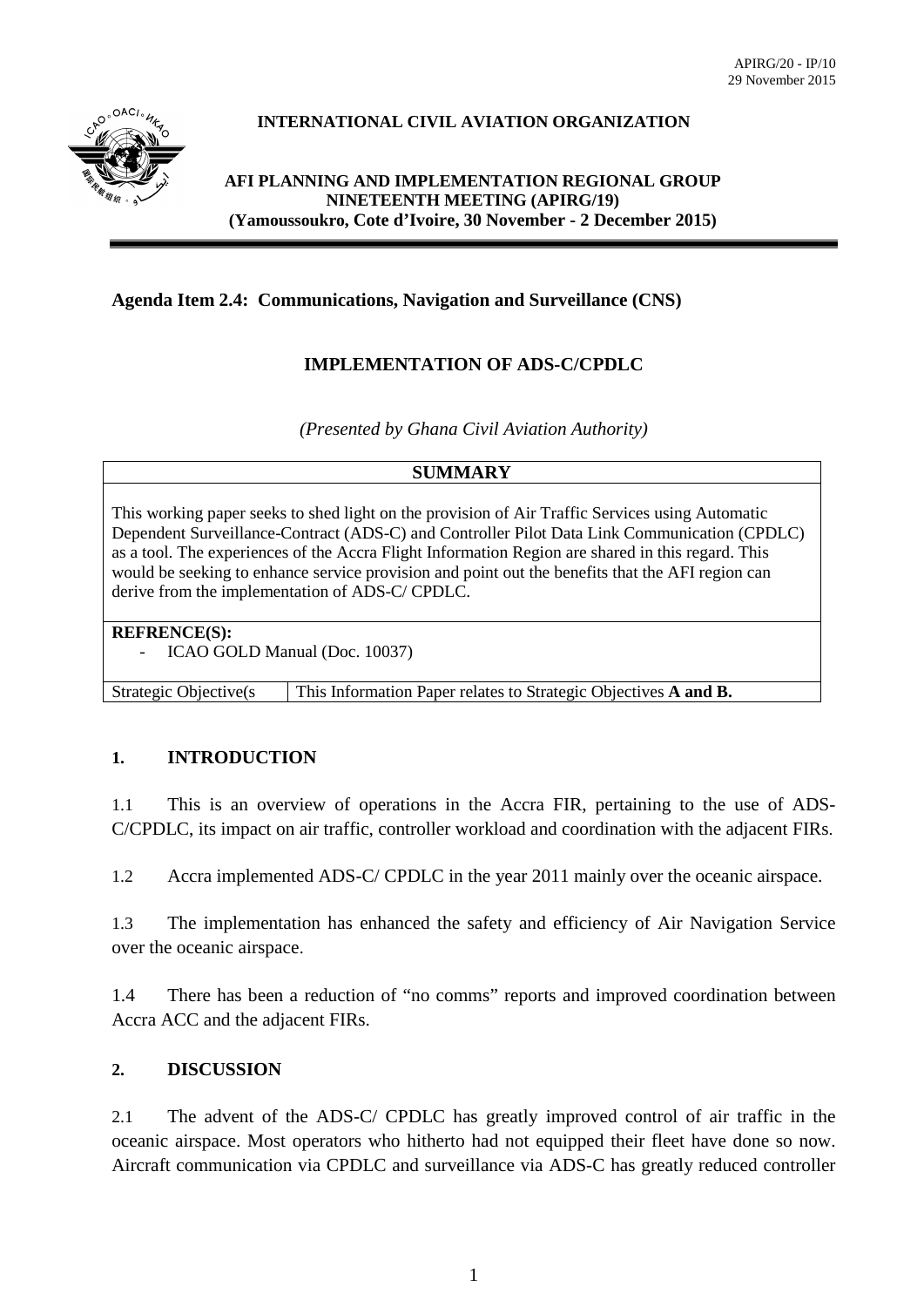

# **INTERNATIONAL CIVIL AVIATION ORGANIZATION**

### **AFI PLANNING AND IMPLEMENTATION REGIONAL GROUP NINETEENTH MEETING (APIRG/19) (Yamoussoukro, Cote d'Ivoire, 30 November - 2 December 2015)**

# **Agenda Item 2.4: Communications, Navigation and Surveillance (CNS)**

# **IMPLEMENTATION OF ADS-C/CPDLC**

*(Presented by Ghana Civil Aviation Authority)*

### **SUMMARY**

This working paper seeks to shed light on the provision of Air Traffic Services using Automatic Dependent Surveillance-Contract (ADS-C) and Controller Pilot Data Link Communication (CPDLC) as a tool. The experiences of the Accra Flight Information Region are shared in this regard. This would be seeking to enhance service provision and point out the benefits that the AFI region can derive from the implementation of ADS-C/ CPDLC.

#### **REFRENCE(S):**

ICAO GOLD Manual (Doc. 10037)

Strategic Objective(s This Information Paper relates to Strategic Objectives **A and B.**

### **1. INTRODUCTION**

1.1 This is an overview of operations in the Accra FIR, pertaining to the use of ADS-C/CPDLC, its impact on air traffic, controller workload and coordination with the adjacent FIRs.

1.2 Accra implemented ADS-C/ CPDLC in the year 2011 mainly over the oceanic airspace.

1.3 The implementation has enhanced the safety and efficiency of Air Navigation Service over the oceanic airspace.

1.4 There has been a reduction of "no comms" reports and improved coordination between Accra ACC and the adjacent FIRs.

# **2. DISCUSSION**

2.1 The advent of the ADS-C/ CPDLC has greatly improved control of air traffic in the oceanic airspace. Most operators who hitherto had not equipped their fleet have done so now. Aircraft communication via CPDLC and surveillance via ADS-C has greatly reduced controller